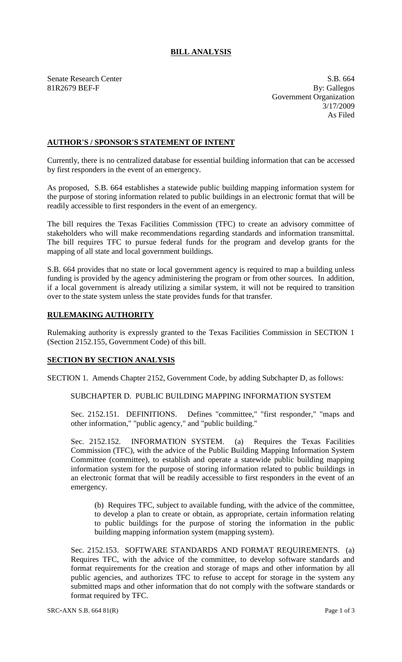# **BILL ANALYSIS**

Senate Research Center S.B. 664

81R2679 BEF-F By: Gallegos Government Organization 3/17/2009 As Filed

## **AUTHOR'S / SPONSOR'S STATEMENT OF INTENT**

Currently, there is no centralized database for essential building information that can be accessed by first responders in the event of an emergency.

As proposed, S.B. 664 establishes a statewide public building mapping information system for the purpose of storing information related to public buildings in an electronic format that will be readily accessible to first responders in the event of an emergency.

The bill requires the Texas Facilities Commission (TFC) to create an advisory committee of stakeholders who will make recommendations regarding standards and information transmittal. The bill requires TFC to pursue federal funds for the program and develop grants for the mapping of all state and local government buildings.

S.B. 664 provides that no state or local government agency is required to map a building unless funding is provided by the agency administering the program or from other sources. In addition, if a local government is already utilizing a similar system, it will not be required to transition over to the state system unless the state provides funds for that transfer.

#### **RULEMAKING AUTHORITY**

Rulemaking authority is expressly granted to the Texas Facilities Commission in SECTION 1 (Section 2152.155, Government Code) of this bill.

#### **SECTION BY SECTION ANALYSIS**

SECTION 1. Amends Chapter 2152, Government Code, by adding Subchapter D, as follows:

## SUBCHAPTER D. PUBLIC BUILDING MAPPING INFORMATION SYSTEM

Sec. 2152.151. DEFINITIONS. Defines "committee," "first responder," "maps and other information," "public agency," and "public building."

Sec. 2152.152. INFORMATION SYSTEM. (a) Requires the Texas Facilities Commission (TFC), with the advice of the Public Building Mapping Information System Committee (committee), to establish and operate a statewide public building mapping information system for the purpose of storing information related to public buildings in an electronic format that will be readily accessible to first responders in the event of an emergency.

(b) Requires TFC, subject to available funding, with the advice of the committee, to develop a plan to create or obtain, as appropriate, certain information relating to public buildings for the purpose of storing the information in the public building mapping information system (mapping system).

Sec. 2152.153. SOFTWARE STANDARDS AND FORMAT REQUIREMENTS. (a) Requires TFC, with the advice of the committee, to develop software standards and format requirements for the creation and storage of maps and other information by all public agencies, and authorizes TFC to refuse to accept for storage in the system any submitted maps and other information that do not comply with the software standards or format required by TFC.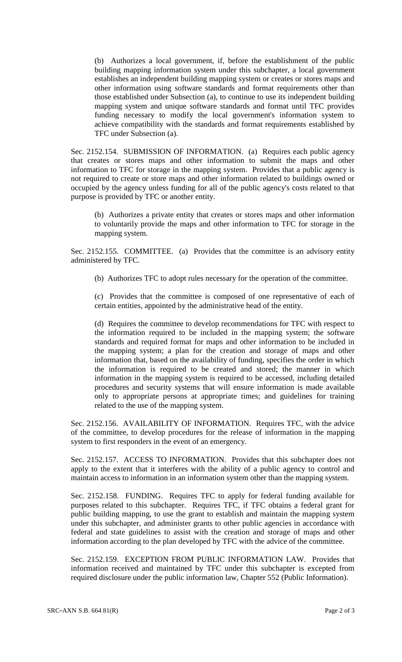(b) Authorizes a local government, if, before the establishment of the public building mapping information system under this subchapter, a local government establishes an independent building mapping system or creates or stores maps and other information using software standards and format requirements other than those established under Subsection (a), to continue to use its independent building mapping system and unique software standards and format until TFC provides funding necessary to modify the local government's information system to achieve compatibility with the standards and format requirements established by TFC under Subsection (a).

Sec. 2152.154. SUBMISSION OF INFORMATION. (a) Requires each public agency that creates or stores maps and other information to submit the maps and other information to TFC for storage in the mapping system. Provides that a public agency is not required to create or store maps and other information related to buildings owned or occupied by the agency unless funding for all of the public agency's costs related to that purpose is provided by TFC or another entity.

(b) Authorizes a private entity that creates or stores maps and other information to voluntarily provide the maps and other information to TFC for storage in the mapping system.

Sec. 2152.155. COMMITTEE. (a) Provides that the committee is an advisory entity administered by TFC.

(b) Authorizes TFC to adopt rules necessary for the operation of the committee.

(c) Provides that the committee is composed of one representative of each of certain entities, appointed by the administrative head of the entity.

(d) Requires the committee to develop recommendations for TFC with respect to the information required to be included in the mapping system; the software standards and required format for maps and other information to be included in the mapping system; a plan for the creation and storage of maps and other information that, based on the availability of funding, specifies the order in which the information is required to be created and stored; the manner in which information in the mapping system is required to be accessed, including detailed procedures and security systems that will ensure information is made available only to appropriate persons at appropriate times; and guidelines for training related to the use of the mapping system.

Sec. 2152.156. AVAILABILITY OF INFORMATION. Requires TFC, with the advice of the committee, to develop procedures for the release of information in the mapping system to first responders in the event of an emergency.

Sec. 2152.157. ACCESS TO INFORMATION. Provides that this subchapter does not apply to the extent that it interferes with the ability of a public agency to control and maintain access to information in an information system other than the mapping system.

Sec. 2152.158. FUNDING. Requires TFC to apply for federal funding available for purposes related to this subchapter. Requires TFC, if TFC obtains a federal grant for public building mapping, to use the grant to establish and maintain the mapping system under this subchapter, and administer grants to other public agencies in accordance with federal and state guidelines to assist with the creation and storage of maps and other information according to the plan developed by TFC with the advice of the committee.

Sec. 2152.159. EXCEPTION FROM PUBLIC INFORMATION LAW. Provides that information received and maintained by TFC under this subchapter is excepted from required disclosure under the public information law, Chapter 552 (Public Information).